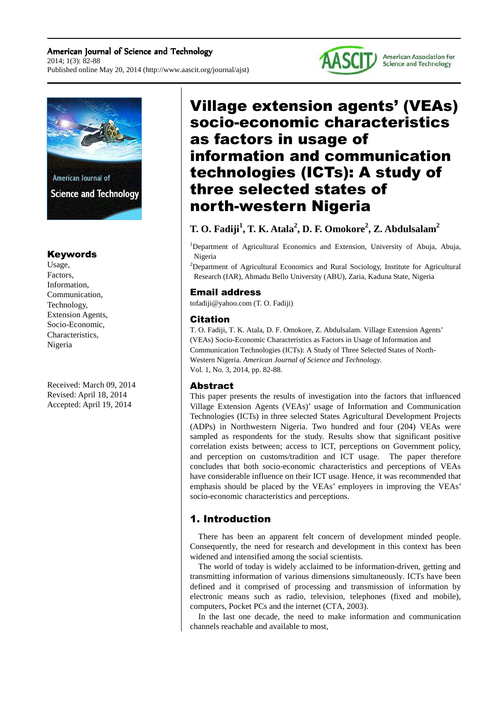#### American Journal of Science and Technology 2014; 1(3): 82-88 Published online May 20, 2014 (http://www.aascit.org/journal/ajst)





## Keywords

Usage, Factors, Information, Communication, Technology, Extension Agents, Socio-Economic, Characteristics, Nigeria

Received: March 09, 2014 Revised: April 18, 2014 Accepted: April 19, 2014

# Village extension agents' (VEAs) socio-economic characteristics as factors in usage of information and communication technologies (ICTs): A study of three selected states of north-western Nigeria

## **T. O. Fadiji<sup>1</sup> , T. K. Atala<sup>2</sup> , D. F. Omokore<sup>2</sup> , Z. Abdulsalam<sup>2</sup>**

<sup>1</sup>Department of Agricultural Economics and Extension, University of Abuja, Abuja, Nigeria

<sup>2</sup>Department of Agricultural Economics and Rural Sociology, Institute for Agricultural Research (IAR), Ahmadu Bello University (ABU), Zaria, Kaduna State, Nigeria

#### Email address

tofadiji@yahoo.com (T. O. Fadiji)

#### Citation

T. O. Fadiji, T. K. Atala, D. F. Omokore, Z. Abdulsalam. Village Extension Agents' (VEAs) Socio-Economic Characteristics as Factors in Usage of Information and Communication Technologies (ICTs): A Study of Three Selected States of North-Western Nigeria. *American Journal of Science and Technology.* Vol. 1, No. 3, 2014, pp. 82-88.

### Abstract

This paper presents the results of investigation into the factors that influenced Village Extension Agents (VEAs)' usage of Information and Communication Technologies (ICTs) in three selected States Agricultural Development Projects (ADPs) in Northwestern Nigeria. Two hundred and four (204) VEAs were sampled as respondents for the study. Results show that significant positive correlation exists between; access to ICT, perceptions on Government policy, and perception on customs/tradition and ICT usage. The paper therefore concludes that both socio-economic characteristics and perceptions of VEAs have considerable influence on their ICT usage. Hence, it was recommended that emphasis should be placed by the VEAs' employers in improving the VEAs' socio-economic characteristics and perceptions.

## 1. Introduction

There has been an apparent felt concern of development minded people. Consequently, the need for research and development in this context has been widened and intensified among the social scientists.

The world of today is widely acclaimed to be information-driven, getting and transmitting information of various dimensions simultaneously. ICTs have been defined and it comprised of processing and transmission of information by electronic means such as radio, television, telephones (fixed and mobile), computers, Pocket PCs and the internet (CTA, 2003).

In the last one decade, the need to make information and communication channels reachable and available to most,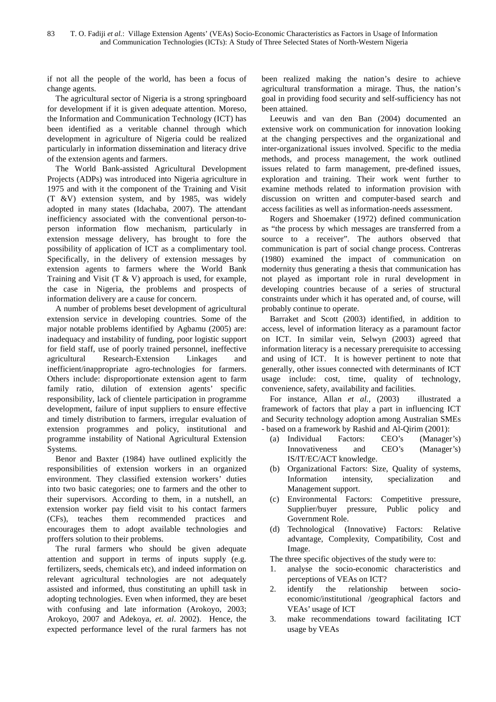if not all the people of the world, has been a focus of change agents.

The agricultural sector of Nigeria is a strong springboard for development if it is given adequate attention. Moreso, the Information and Communication Technology (ICT) has been identified as a veritable channel through which development in agriculture of Nigeria could be realized particularly in information dissemination and literacy drive of the extension agents and farmers.

The World Bank-assisted Agricultural Development Projects (ADPs) was introduced into Nigeria agriculture in 1975 and with it the component of the Training and Visit (T &V) extension system, and by 1985, was widely adopted in many states (Idachaba, 2007). The attendant inefficiency associated with the conventional person-toperson information flow mechanism, particularly in extension message delivery, has brought to fore the possibility of application of ICT as a complimentary tool. Specifically, in the delivery of extension messages by extension agents to farmers where the World Bank Training and Visit  $(T & W)$  approach is used, for example, the case in Nigeria, the problems and prospects of information delivery are a cause for concern.

A number of problems beset development of agricultural extension service in developing countries. Some of the major notable problems identified by Agbamu (2005) are: inadequacy and instability of funding, poor logistic support for field staff, use of poorly trained personnel, ineffective agricultural Research-Extension Linkages and inefficient/inappropriate agro-technologies for farmers. Others include: disproportionate extension agent to farm family ratio, dilution of extension agents' specific responsibility, lack of clientele participation in programme development, failure of input suppliers to ensure effective and timely distribution to farmers, irregular evaluation of extension programmes and policy, institutional and programme instability of National Agricultural Extension Systems.

Benor and Baxter (1984) have outlined explicitly the responsibilities of extension workers in an organized environment. They classified extension workers' duties into two basic categories; one to farmers and the other to their supervisors. According to them, in a nutshell, an extension worker pay field visit to his contact farmers (CFs), teaches them recommended practices and encourages them to adopt available technologies and proffers solution to their problems.

The rural farmers who should be given adequate attention and support in terms of inputs supply (e.g. fertilizers, seeds, chemicals etc), and indeed information on relevant agricultural technologies are not adequately assisted and informed, thus constituting an uphill task in adopting technologies. Even when informed, they are beset with confusing and late information (Arokoyo, 2003; Arokoyo, 2007 and Adekoya, *et. al*. 2002). Hence, the expected performance level of the rural farmers has not

been realized making the nation's desire to achieve agricultural transformation a mirage. Thus, the nation's goal in providing food security and self-sufficiency has not been attained.

Leeuwis and van den Ban (2004) documented an extensive work on communication for innovation looking at the changing perspectives and the organizational and inter-organizational issues involved. Specific to the media methods, and process management, the work outlined issues related to farm management, pre-defined issues, exploration and training. Their work went further to examine methods related to information provision with discussion on written and computer-based search and access facilities as well as information-needs assessment.

Rogers and Shoemaker (1972) defined communication as "the process by which messages are transferred from a source to a receiver". The authors observed that communication is part of social change process. Contreras (1980) examined the impact of communication on modernity thus generating a thesis that communication has not played as important role in rural development in developing countries because of a series of structural constraints under which it has operated and, of course, will probably continue to operate.

Barraket and Scott (2003) identified, in addition to access, level of information literacy as a paramount factor on ICT. In similar vein, Selwyn (2003) agreed that information literacy is a necessary prerequisite to accessing and using of ICT. It is however pertinent to note that generally, other issues connected with determinants of ICT usage include: cost, time, quality of technology, convenience, safety, availability and facilities.

For instance, Allan *et al.*, (2003) illustrated a framework of factors that play a part in influencing ICT and Security technology adoption among Australian SMEs - based on a framework by Rashid and Al-Qirim (2001):

- (a) Individual Factors: CEO's (Manager's) Innovativeness and CEO's (Manager's) IS/IT/EC/ACT knowledge.
- (b) Organizational Factors: Size, Quality of systems, Information intensity, specialization and Management support.
- (c) Environmental Factors: Competitive pressure, Supplier/buyer pressure, Public policy and Government Role.
- (d) Technological (Innovative) Factors: Relative advantage, Complexity, Compatibility, Cost and Image.

The three specific objectives of the study were to:

- 1. analyse the socio-economic characteristics and perceptions of VEAs on ICT?
- 2. identify the relationship between socioeconomic/institutional /geographical factors and VEAs' usage of ICT
- 3. make recommendations toward facilitating ICT usage by VEAs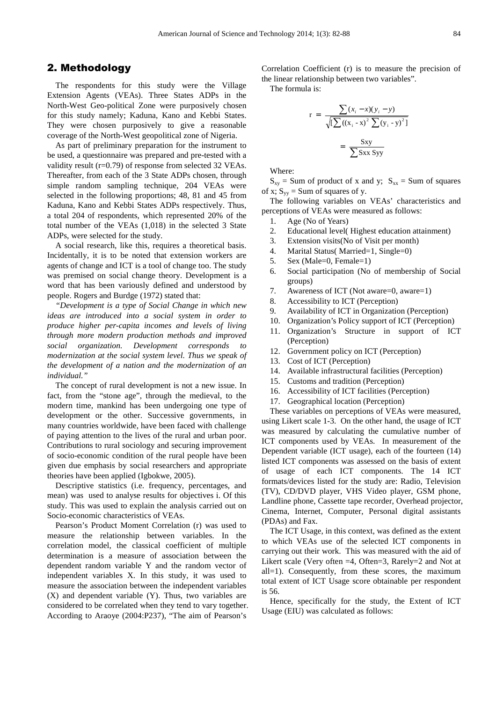#### 2. Methodology

The respondents for this study were the Village Extension Agents (VEAs). Three States ADPs in the North-West Geo-political Zone were purposively chosen for this study namely; Kaduna, Kano and Kebbi States. They were chosen purposively to give a reasonable coverage of the North-West geopolitical zone of Nigeria.

As part of preliminary preparation for the instrument to be used, a questionnaire was prepared and pre-tested with a validity result (r=0.79) of response from selected 32 VEAs. Thereafter, from each of the 3 State ADPs chosen, through simple random sampling technique, 204 VEAs were selected in the following proportions; 48, 81 and 45 from Kaduna, Kano and Kebbi States ADPs respectively. Thus, a total 204 of respondents, which represented 20% of the total number of the VEAs (1,018) in the selected 3 State ADPs, were selected for the study.

A social research, like this, requires a theoretical basis. Incidentally, it is to be noted that extension workers are agents of change and ICT is a tool of change too. The study was premised on social change theory. Development is a word that has been variously defined and understood by people. Rogers and Burdge (1972) stated that:

*"Development is a type of Social Change in which new ideas are introduced into a social system in order to produce higher per-capita incomes and levels of living through more modern production methods and improved social organization. Development corresponds to modernization at the social system level. Thus we speak of the development of a nation and the modernization of an individual."* 

The concept of rural development is not a new issue. In fact, from the "stone age", through the medieval, to the modern time, mankind has been undergoing one type of development or the other. Successive governments, in many countries worldwide, have been faced with challenge of paying attention to the lives of the rural and urban poor. Contributions to rural sociology and securing improvement of socio-economic condition of the rural people have been given due emphasis by social researchers and appropriate theories have been applied (Igbokwe, 2005).

Descriptive statistics (i.e. frequency, percentages, and mean) was used to analyse results for objectives i. Of this study. This was used to explain the analysis carried out on Socio-economic characteristics of VEAs.

Pearson's Product Moment Correlation (r) was used to measure the relationship between variables. In the correlation model, the classical coefficient of multiple determination is a measure of association between the dependent random variable Y and the random vector of independent variables X. In this study, it was used to measure the association between the independent variables (X) and dependent variable (Y). Thus, two variables are considered to be correlated when they tend to vary together. According to Araoye (2004:P237), "The aim of Pearson's

Correlation Coefficient (r) is to measure the precision of the linear relationship between two variables".

The formula is:

$$
r = \frac{\sum (x_i - x)(y_i - y)}{\sqrt{\left[\sum ((x_i - x)^2 \sum (y_i - y)^2)\right]}}
$$

$$
= \frac{Sxy}{\sum Sxx Syy}
$$

Where:

 $S_{xy}$  = Sum of product of x and y;  $S_{xx}$  = Sum of squares of x;  $S_{yy}$  = Sum of squares of y.

The following variables on VEAs' characteristics and perceptions of VEAs were measured as follows:

- 1. Age (No of Years)
- 2. Educational level( Highest education attainment)
- 3. Extension visits(No of Visit per month)
- 4. Marital Status( Married=1, Single=0)
- 5. Sex (Male=0, Female=1)
- 6. Social participation (No of membership of Social groups)
- 7. Awareness of ICT (Not aware=0, aware=1)
- 8. Accessibility to ICT (Perception)
- 9. Availability of ICT in Organization (Perception)
- 10. Organization's Policy support of ICT (Perception)
- 11. Organization's Structure in support of ICT (Perception)
- 12. Government policy on ICT (Perception)
- 13. Cost of ICT (Perception)
- 14. Available infrastructural facilities (Perception)
- 15. Customs and tradition (Perception)
- 16. Accessibility of ICT facilities (Perception)
- 17. Geographical location (Perception)

These variables on perceptions of VEAs were measured, using Likert scale 1-3. On the other hand, the usage of ICT was measured by calculating the cumulative number of ICT components used by VEAs. In measurement of the Dependent variable (ICT usage), each of the fourteen (14) listed ICT components was assessed on the basis of extent of usage of each ICT components. The 14 ICT formats/devices listed for the study are: Radio, Television (TV), CD/DVD player, VHS Video player, GSM phone, Landline phone, Cassette tape recorder, Overhead projector, Cinema, Internet, Computer, Personal digital assistants (PDAs) and Fax.

The ICT Usage, in this context, was defined as the extent to which VEAs use of the selected ICT components in carrying out their work. This was measured with the aid of Likert scale (Very often =4, Often=3, Rarely=2 and Not at all=1). Consequently, from these scores, the maximum total extent of ICT Usage score obtainable per respondent is 56.

Hence, specifically for the study, the Extent of ICT Usage (EIU) was calculated as follows: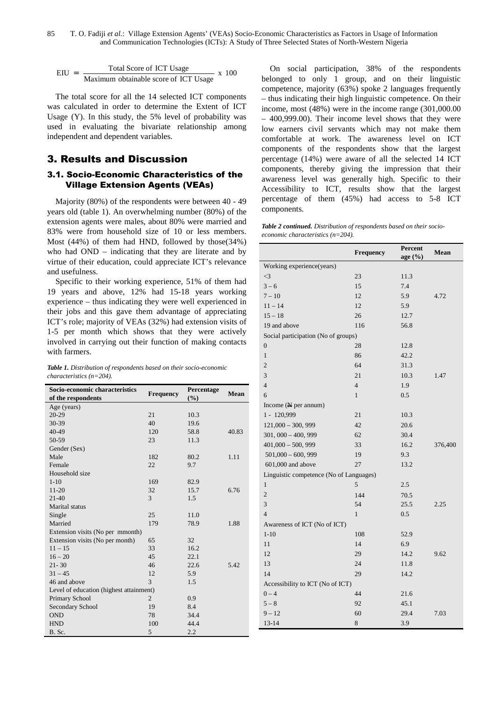$$
EIU = \frac{\text{Total Score of ICT Usage}}{\text{Maximum obtainable score of ICT Usage}} \times 100
$$

The total score for all the 14 selected ICT components was calculated in order to determine the Extent of ICT Usage (Y). In this study, the 5% level of probability was used in evaluating the bivariate relationship among independent and dependent variables.

## 3. Results and Discussion

#### 3.1. Socio-Economic Characteristics of the Village Extension Agents (VEAs)

Majority (80%) of the respondents were between 40 - 49 years old (table 1). An overwhelming number (80%) of the extension agents were males, about 80% were married and 83% were from household size of 10 or less members. Most (44%) of them had HND, followed by those(34%) who had OND – indicating that they are literate and by virtue of their education, could appreciate ICT's relevance and usefulness.

Specific to their working experience, 51% of them had 19 years and above, 12% had 15-18 years working experience – thus indicating they were well experienced in their jobs and this gave them advantage of appreciating ICT's role; majority of VEAs (32%) had extension visits of 1-5 per month which shows that they were actively involved in carrying out their function of making contacts with farmers.

*Table 1. Distribution of respondents based on their socio-economic characteristics (n=204).* 

| Socio-economic characteristics          | <b>Frequency</b> | Percentage | Mean  |  |  |
|-----------------------------------------|------------------|------------|-------|--|--|
| of the respondents                      |                  | (%)        |       |  |  |
| Age (years)                             |                  |            |       |  |  |
| 20-29                                   | 21               | 10.3       |       |  |  |
| 30-39                                   | 40               | 19.6       |       |  |  |
| 40-49                                   | 120              | 58.8       | 40.83 |  |  |
| 50-59                                   | 23               | 11.3       |       |  |  |
| Gender (Sex)                            |                  |            |       |  |  |
| Male                                    | 182              | 80.2       | 1.11  |  |  |
| Female                                  | 22               | 9.7        |       |  |  |
| Household size                          |                  |            |       |  |  |
| $1 - 10$                                | 169              | 82.9       |       |  |  |
| $11-20$                                 | 32               | 15.7       | 6.76  |  |  |
| 21-40                                   | 3                | 1.5        |       |  |  |
| Marital status                          |                  |            |       |  |  |
| Single                                  | 25               | 11.0       |       |  |  |
| Married                                 | 179              | 78.9       | 1.88  |  |  |
| Extension visits (No per mmonth)        |                  |            |       |  |  |
| Extension visits (No per month)         | 65               | 32         |       |  |  |
| $11 - 15$                               | 33               | 16.2       |       |  |  |
| $16 - 20$                               | 45               | 22.1       |       |  |  |
| $21 - 30$                               | 46               | 22.6       | 5.42  |  |  |
| $31 - 45$                               | 12               | 5.9        |       |  |  |
| 46 and above                            | 3                | 1.5        |       |  |  |
| Level of education (highest attainment) |                  |            |       |  |  |
| Primary School                          | $\overline{2}$   | 0.9        |       |  |  |
| Secondary School                        | 19               | 8.4        |       |  |  |
| <b>OND</b>                              | 78               | 34.4       |       |  |  |
| <b>HND</b>                              | 100              | 44.4       |       |  |  |
| B. Sc.                                  | 5                | 2.2        |       |  |  |

On social participation, 38% of the respondents belonged to only 1 group, and on their linguistic competence, majority (63%) spoke 2 languages frequently – thus indicating their high linguistic competence. On their income, most (48%) were in the income range (301,000.00 – 400,999.00). Their income level shows that they were low earners civil servants which may not make them comfortable at work. The awareness level on ICT components of the respondents show that the largest percentage (14%) were aware of all the selected 14 ICT components, thereby giving the impression that their awareness level was generally high. Specific to their Accessibility to ICT, results show that the largest percentage of them (45%) had access to 5-8 ICT components.

*Table 2 continued. Distribution of respondents based on their socioeconomic characteristics (n=204).* 

|                                         | <b>Frequency</b> | Percent<br>age $(\% )$ | Mean    |
|-----------------------------------------|------------------|------------------------|---------|
| Working experience(years)               |                  |                        |         |
| $\leq$ 3                                | 23               | 11.3                   |         |
| $3 - 6$                                 | 15               | 7.4                    |         |
| $7 - 10$                                | 12               | 5.9                    | 4.72    |
| $11 - 14$                               | 12               | 5.9                    |         |
| $15 - 18$                               | 26               | 12.7                   |         |
| 19 and above                            | 116              | 56.8                   |         |
| Social participation (No of groups)     |                  |                        |         |
| $\boldsymbol{0}$                        | 28               | 12.8                   |         |
| $\mathbf{1}$                            | 86               | 42.2                   |         |
| $\overline{2}$                          | 64               | 31.3                   |         |
| 3                                       | 21               | 10.3                   | 1.47    |
| $\overline{4}$                          | $\overline{4}$   | 1.9                    |         |
| 6                                       | $\mathbf{1}$     | 0.5                    |         |
| Income $(\mathbb{N})$ per annum)        |                  |                        |         |
| 1 - 120,999                             | 21               | 10.3                   |         |
| $121,000 - 300,999$                     | 42               | 20.6                   |         |
| $301,000 - 400,999$                     | 62               | 30.4                   |         |
| $401,000 - 500,999$                     | 33               | 16.2                   | 376,400 |
| $501,000 - 600,999$                     | 19               | 9.3                    |         |
| $601,000$ and above                     | 27               | 13.2                   |         |
| Linguistic competence (No of Languages) |                  |                        |         |
| $\mathbf{1}$                            | 5                | 2.5                    |         |
| $\overline{2}$                          | 144              | 70.5                   |         |
| 3                                       | 54               | 25.5                   | 2.25    |
| $\overline{4}$                          | $\mathbf{1}$     | 0.5                    |         |
| Awareness of ICT (No of ICT)            |                  |                        |         |
| $1 - 10$                                | 108              | 52.9                   |         |
| 11                                      | 14               | 6.9                    |         |
| 12                                      | 29               | 14.2                   | 9.62    |
| 13                                      | 24               | 11.8                   |         |
| 14                                      | 29               | 14.2                   |         |
| Accessibility to ICT (No of ICT)        |                  |                        |         |
| $0 - 4$                                 | 44               | 21.6                   |         |
| $5 - 8$                                 | 92               | 45.1                   |         |
| $9 - 12$                                | 60               | 29.4                   | 7.03    |
| 13-14                                   | 8                | 3.9                    |         |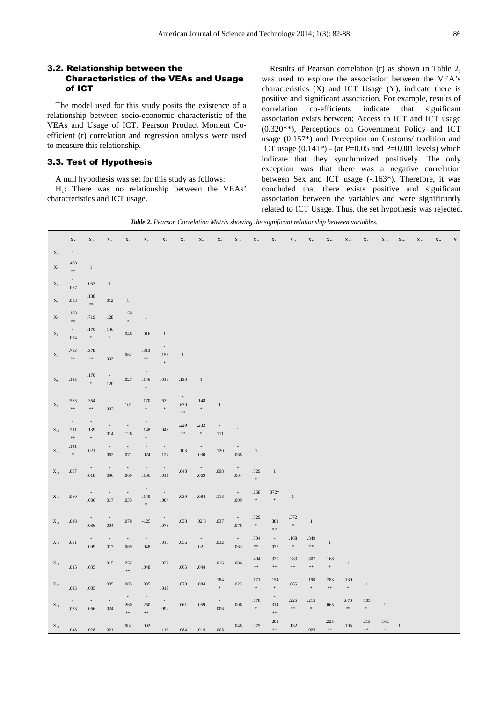#### 3.2. Relationship between the Characteristics of the VEAs and Usage of ICT

The model used for this study posits the existence of a relationship between socio-economic characteristic of the VEAs and Usage of ICT. Pearson Product Moment Coefficient (r) correlation and regression analysis were used to measure this relationship.

#### 3.3. Test of Hypothesis

A null hypothesis was set for this study as follows:

H1: There was no relationship between the VEAs' characteristics and ICT usage.

Results of Pearson correlation (r) as shown in Table 2, was used to explore the association between the VEA's characteristics (X) and ICT Usage (Y), indicate there is positive and significant association. For example, results of correlation co-efficients indicate that significant association exists between; Access to ICT and ICT usage (0.320\*\*), Perceptions on Government Policy and ICT usage (0.157\*) and Perception on Customs/ tradition and ICT usage  $(0.141*)$  - (at P=0.05 and P=0.001 levels) which indicate that they synchronized positively. The only exception was that there was a negative correlation between Sex and ICT usage (-.163\*). Therefore, it was concluded that there exists positive and significant association between the variables and were significantly related to ICT Usage. Thus, the set hypothesis was rejected.

*Table 2. Pearson Correlation Matrix showing the significant relationship between variables.* 

|                   | $\mathbf{X}_1$                               | $\mathbf{X}_2$                                    | $\mathbf{X}_3$                       | $\mathbf{X}_4$                               | $\mathbf{X}_5$                                        | $\mathbf{X}_6$                   | $\mathbf{X}_7$                                  | $\mathbf{X}_8$                   | $\mathbf{X}_9$                       | $\mathbf{X}_{10}$                    | $\mathbf{X}_{11}$          | $X_{12}$                               | $X_{13}$                   | $\mathbf{X}_{\mathbf{14}}$       | $X_{15}$                   | $X_{16}$          | $\mathbf{X}_{17}$              | $X_{18}$       | $\mathbf{X}_{19}$ | $X_{20}$ | $X_{21}$ | Y |
|-------------------|----------------------------------------------|---------------------------------------------------|--------------------------------------|----------------------------------------------|-------------------------------------------------------|----------------------------------|-------------------------------------------------|----------------------------------|--------------------------------------|--------------------------------------|----------------------------|----------------------------------------|----------------------------|----------------------------------|----------------------------|-------------------|--------------------------------|----------------|-------------------|----------|----------|---|
| $\mathbf{X}_1$    | $1\,$                                        |                                                   |                                      |                                              |                                                       |                                  |                                                 |                                  |                                      |                                      |                            |                                        |                            |                                  |                            |                   |                                |                |                   |          |          |   |
| $X_2$             | .428<br>$\pm \pm$                            | $\,1$                                             |                                      |                                              |                                                       |                                  |                                                 |                                  |                                      |                                      |                            |                                        |                            |                                  |                            |                   |                                |                |                   |          |          |   |
| $\mathbf{X}_3$    | $\overline{\phantom{a}}$<br>.067             | .053                                              | $1\,$                                |                                              |                                                       |                                  |                                                 |                                  |                                      |                                      |                            |                                        |                            |                                  |                            |                   |                                |                |                   |          |          |   |
| $\mathbf{X}_4$    | .033                                         | $.188\,$<br>$\pm\pm$                              | .012                                 | $\,1\,$                                      |                                                       |                                  |                                                 |                                  |                                      |                                      |                            |                                        |                            |                                  |                            |                   |                                |                |                   |          |          |   |
| $\mathbf{X}_5$    | .198<br>$\pm\pm$                             | .719                                              | $.128\,$                             | .159<br>$\bar{\mathrm{s}}$                   | $\mathbf{1}$                                          |                                  |                                                 |                                  |                                      |                                      |                            |                                        |                            |                                  |                            |                   |                                |                |                   |          |          |   |
| $\mathbf{X}_6$    | $\sim$<br>.074                               | .170<br>$\,$                                      | .146<br>$\ast$                       | $.048\,$                                     | .016                                                  | $\mathbf{1}$                     |                                                 |                                  |                                      |                                      |                            |                                        |                            |                                  |                            |                   |                                |                |                   |          |          |   |
| $X_7$             | .763<br>$\pm \pm$                            | .379<br>$\pm\pm$                                  | $\overline{\phantom{a}}$<br>.002     | .062                                         | .313<br>$\pm\pi$                                      | .158<br>×                        | $\,1\,$                                         |                                  |                                      |                                      |                            |                                        |                            |                                  |                            |                   |                                |                |                   |          |          |   |
| $\mathbf{X}_8$    | .135                                         | .170<br>$\frac{1}{2}$                             | $\overline{\phantom{a}}$<br>$.120\,$ | .027                                         | $\overline{\phantom{a}}$<br>.146<br>$\frac{1}{2} \xi$ | .013                             | .130                                            | $\mathbf{1}$                     |                                      |                                      |                            |                                        |                            |                                  |                            |                   |                                |                |                   |          |          |   |
| $\mathbf{X}_9$    | .585<br>$\pm\pm$                             | .364<br>$\pm\pm$                                  | $\overline{\phantom{a}}$<br>.007     | $.101\,$                                     | .170<br>$\frac{1}{2}$                                 | .630<br>$\frac{1}{2}$            | $\overline{\phantom{a}}$<br>.630<br>$\Re\, \Re$ | .148<br>$\ast$                   | $\,1\,$                              |                                      |                            |                                        |                            |                                  |                            |                   |                                |                |                   |          |          |   |
| $\mathbf{X}_{10}$ | $\overline{\phantom{a}}$<br>.211<br>$\pm\pm$ | $\overline{\phantom{a}}$<br>.139<br>$\frac{1}{2}$ | .014                                 | $\overline{\phantom{a}}$<br>$.126$           | .148<br>$\dot{M}$                                     | .048                             | .229<br>$\pm\pm$                                | .232<br>$\frac{1}{2}$            | $\overline{\phantom{a}}$<br>$.111\,$ | $\mathbf{1}$                         |                            |                                        |                            |                                  |                            |                   |                                |                |                   |          |          |   |
| $\mathbf{X}_{11}$ | .141<br>$\bar{\mathbf{x}}$                   | .021                                              | $.062\,$                             | $\sim$<br>$.071\,$                           | $\overline{\phantom{a}}$<br>.074                      | $\overline{\phantom{a}}$<br>.127 | .103                                            | $\overline{\phantom{a}}$<br>.030 | $.120$                               | $.068\,$                             | $\mathbf{1}$               |                                        |                            |                                  |                            |                   |                                |                |                   |          |          |   |
| $\mathbf{X}_{12}$ | .037                                         | $\overline{\phantom{a}}$<br>$.018\,$              | $\overline{\phantom{a}}$<br>.096     | $\sim$<br>.069                               | $\overline{\phantom{a}}$<br>$.106$                    | $\overline{\phantom{a}}$<br>.011 | $.048\,$                                        | $\overline{\phantom{a}}$<br>.069 | $.098\,$                             | $\overline{\phantom{a}}$<br>$.004\,$ | .329<br>$\pm$              | $\,1\,$                                |                            |                                  |                            |                   |                                |                |                   |          |          |   |
| $\mathbf{X}_{13}$ | .060                                         | $\sim$<br>.036                                    | .017                                 | $\overline{\phantom{a}}$<br>.035             | .149<br>$\ast$                                        | $\overline{\phantom{a}}$<br>.004 | .039                                            | $.084\,$                         | $.118\,$                             | $\overline{\phantom{a}}$<br>$.009$   | .258<br>$\pm$              | 372*<br>$\eta_{\rm f}$                 | $\,1$                      |                                  |                            |                   |                                |                |                   |          |          |   |
| $\mathbf{X}_{14}$ | $.048\,$                                     | $\overline{\phantom{a}}$<br>.086                  | .004                                 | $.078\,$                                     | $-125$                                                | .078                             | .038                                            | $.02\ 8$                         | .037                                 | $\overline{\phantom{a}}$<br>.076     | .329<br>$\ast$             | $\overline{\phantom{a}}$<br>.381<br>** | .372<br>$\hat{\mathbf{x}}$ | $\,1\,$                          |                            |                   |                                |                |                   |          |          |   |
| $\mathbf{X}_{15}$ | .091                                         | .099                                              | .017                                 | $\overline{\phantom{a}}$<br>.069             | .048                                                  | .015                             | $.056\,$                                        | .021                             | $.032\,$                             | $\sim$<br>.063                       | .304<br>$\pm\pm$           | $\overline{\phantom{a}}$<br>.072       | $.168\,$<br>$\ast$         | .349<br>$\pm \pm$                | $\,1\,$                    |                   |                                |                |                   |          |          |   |
| $\mathbf{X}_{16}$ | $.015\,$                                     | .035                                              | .015                                 | $\bar{\phantom{a}}$<br>.232<br>$\frac{1}{2}$ | $.048\,$                                              | .032                             | .065                                            | .044                             | .016                                 | $.086\,$                             | .404<br>$\pm\pm$           | .329<br>$\pm \pm$                      | .283<br>$\pm \pm$          | .307<br>$\frac{1}{2}$            | .168<br>$\hat{\mathbf{x}}$ | $\mathbf{1}$      |                                |                |                   |          |          |   |
| $\mathbf{X}_{17}$ | .015                                         | .085                                              | $.005$                               | .085                                         | .085                                                  | .019                             | $.070\,$                                        | $.084\,$                         | .184<br>sk.                          | .023                                 | .171<br>$\bar{\mathbf{x}}$ | .154<br>$\approx$                      | .065                       | .190<br>$\bar{\mathbf{x}}$       | .283<br>**                 | .139<br>$\ast$    | $\mathbf{1}$                   |                |                   |          |          |   |
| $\mathbf{X}_{18}$ | .033                                         | .066                                              | .024                                 | $\sim$<br>.260<br>s<br>18 s<br>18            | $\sim$<br>.260<br>$\pm\pm$                            | .092                             | $.061$                                          | .059                             | .006                                 | $.006\,$                             | .678<br>$\pm$              | .314<br>$\pm\pm$                       | .225<br>$\pm \pm$          | .215<br>$\bar{\mathbf{x}}$       | .065                       | .673<br>$\pm \pm$ | $.105\,$<br>$\hat{\mathbf{x}}$ | $\,1$          |                   |          |          |   |
| $\mathbf{X}_{19}$ | .048                                         | .028                                              | .021                                 | .002                                         | $.002\,$                                              | $\overline{\phantom{a}}$<br>.116 | .084                                            | .015                             | .005                                 | $.048\,$                             | .075                       | .201<br>$\pm \pm$                      | $.132\,$                   | $\overline{\phantom{a}}$<br>.025 | .225<br>s:                 | $.105$            | .213<br>$\pm\pm$               | .162<br>$\ast$ | $\,1\,$           |          |          |   |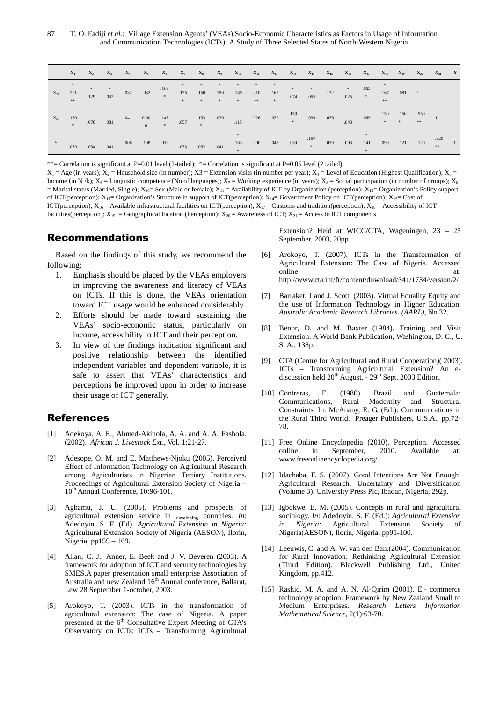87 T. O. Fadiji *et al.*: Village Extension Agents' (VEAs) Socio-Economic Characteristics as Factors in Usage of Information and Communication Technologies (ICTs): A Study of Three Selected States of North-Western Nigeria

|          |      |      |      | $X_1 \qquad X_2 \qquad X_3 \qquad X_4 \qquad X_5 \qquad X_6 \qquad X_7 \qquad X_8 \qquad X_9 \qquad X_{10} \qquad X_{11} \qquad X_{12} \qquad X_{13} \qquad X_{14} \qquad X_{15} \qquad X_{16} \qquad X_{17} \qquad X_{18} \qquad X_{19} \qquad X_{20} \qquad X_{21}$ |  |  |  |  |  |  |  |  | $\mathbf{Y}$ |
|----------|------|------|------|-----------------------------------------------------------------------------------------------------------------------------------------------------------------------------------------------------------------------------------------------------------------------|--|--|--|--|--|--|--|--|--------------|
| $X_{20}$ | .201 |      |      | . 19 . 032 . 169 . 150 . 189 . 210 . 165 . 169 . 150 . 165 . 150 . 165 . 169 . 169 . 169 . 169 . 169 . 169 . 169 . 169 . 169 . 169 . 169 . 169 . 169 . 169 . 169 . 169 . 169 . 169 . 169 . 169 . 169 . 169 . 169 . 169 . 169                                          |  |  |  |  |  |  |  |  |              |
| $X_{21}$ | .180 |      |      |                                                                                                                                                                                                                                                                       |  |  |  |  |  |  |  |  |              |
| Y        | .089 | .054 | .041 |                                                                                                                                                                                                                                                                       |  |  |  |  |  |  |  |  | $\sim$ 1     |

\*\*= Correlation is significant at P=0.01 level (2-tailed); \*= Correlation is significant at P=0.05 level (2 tailed).

 $X_1 = \text{Age (in years)}$ ;  $X_2 = \text{Household size (in number)}$ ;  $X_3 = \text{Extension visits (in number per year)}$ ;  $X_4 = \text{Level of Education (Higher Qualification)}$ ;  $X_5 = \text{False (in number)}$ Income (in N /k);  $X_6$  = Linguistic competence (No of languages);  $X_7$  = Working experience (in years);  $X_8$  = Social participation (in number of groups);  $X_9$ = Marital status (Married, Single);  $X_{10}$ = Sex (Male or female);  $X_{11}$  = Availability of ICT by Organization (perception);  $X_{12}$ = Organization's Policy support of ICT(perception);  $X_{13}$ = Organization's Structure in support of ICT(perception);  $X_{14}$ = Government Policy on ICT(perception);  $X_{15}$ = Cost of ICT(perception);  $X_{16}$  = Available infrastructural facilities on ICT(perception);  $X_{17}$  = Customs and tradition(perception);  $X_{18}$  = Accessibility of ICT facilities(perception);  $X_{19}$  = Geographical location (Perception);  $X_{20}$  = Awareness of ICT;  $X_{21}$  = Access to ICT components

#### Recommendations

Based on the findings of this study, we recommend the following:

- 1. Emphasis should be placed by the VEAs employers in improving the awareness and literacy of VEAs on ICTs. If this is done, the VEAs orientation toward ICT usage would be enhanced considerably.
- 2. Efforts should be made toward sustaining the VEAs' socio-economic status, particularly on income, accessibility to ICT and their perception.
- 3. In view of the findings indication significant and positive relationship between the identified independent variables and dependent variable, it is safe to assert that VEAs' characteristics and perceptions be improved upon in order to increase their usage of ICT generally.

#### References

- [1] Adekoya, A. E., Ahmed-Akinola, A. A. and A. A. Fashola. (2002). *African J. Livestock Ext*., Vol. 1:21-27.
- [2] Adesope, O. M. and E. Matthews-Njoku (2005). Perceived Effect of Information Technology on Agricultural Research among Agriculturists in Nigerian Tertiary Institutions. Proceedings of Agricultural Extension Society of Nigeria – 10<sup>th</sup> Annual Conference, 10:96-101.
- [3] Agbamu, J. U. (2005). Problems and prospects of agricultural extension service in developing countries. *In*: Adedoyin, S. F. (Ed). *Agricultural Extension in Nigeria:* Agricultural Extension Society of Nigeria (AESON), Ilorin, Nigeria, pp159 – 169.
- [4] Allan, C. J., Anner, E. Beek and J. V. Beveren (2003). A framework for adoption of ICT and security technologies by SMES.A paper presentation small enterprise Association of Australia and new Zealand 16<sup>th</sup> Annual conference, Ballarat, Lew 28 September 1-october, 2003.
- [5] Arokoyo, T. (2003). ICTs in the transformation of agricultural extension: The case of Nigeria. A paper presented at the 6<sup>th</sup> Consultative Expert Meeting of CTA's Observatory on ICTs: ICTs – Transforming Agricultural

Extension? Held at WICC/CTA, Wageningen, 23 – 25 September, 2003, 20pp.

- [6] Arokoyo, T. (2007). ICTs in the Transformation of Agricultural Extension: The Case of Nigeria. Accessed online at: http://www.cta.int/fr/content/download/341/1734/version/2/
- [7] Barraket, J and J. Scott. (2003). Virtual Equality Equity and the use of Information Technology in Higher Education. *Australia Academic Research Libraries. (AARL),* No 32.
- [8] Benor, D. and M. Baxter (1984). Training and Visit Extension. A World Bank Publication, Washington, D. C., U. S. A., 138p.
- [9] CTA (Centre for Agricultural and Rural Cooperation)( 2003). ICTs – Transforming Agricultural Extension? An ediscussion held 20<sup>th</sup> August, - 29<sup>th</sup> Sept. 2003 Edition.
- [10] Contreras, E. (1980). Brazil and Guatemala: Communications, Rural Modernity and Structural Constraints. In: McAnany, E. G. (Ed.): Communications in the Rural Third World. Preager Publishers, U.S.A., pp.72- 78.
- [11] Free Online Encyclopedia (2010). Perception. Accessed online in September, 2010. Available at: www.freeonlinencyclopedia.org/ .
- [12] Idachaba, F. S. (2007). Good Intentions Are Not Enough: Agricultural Research, Uncertainty and Diversification (Volume 3). University Press Plc, Ibadan, Nigeria, 292p.
- [13] Igbokwe, E. M. (2005). Concepts in rural and agricultural sociology. *In*: Adedoyin, S. F. (Ed.): *Agricultural Extension in Nigeria:* Agricultural Extension Society of Nigeria(AESON), Ilorin, Nigeria, pp91-100.
- [14] Leeuwis, C. and A. W. van den Ban.(2004). Communication for Rural Innovation: Rethinking Agricultural Extension (Third Edition). Blackwell Publishing Ltd., United Kingdom, pp.412.
- [15] Rashid, M. A. and A. N. Al-Qirim (2001). E.- commerce technology adoption. Framework by New Zealand Small to Medium Enterprises. *Research Letters Information Mathematical Science*, 2(1):63-70.